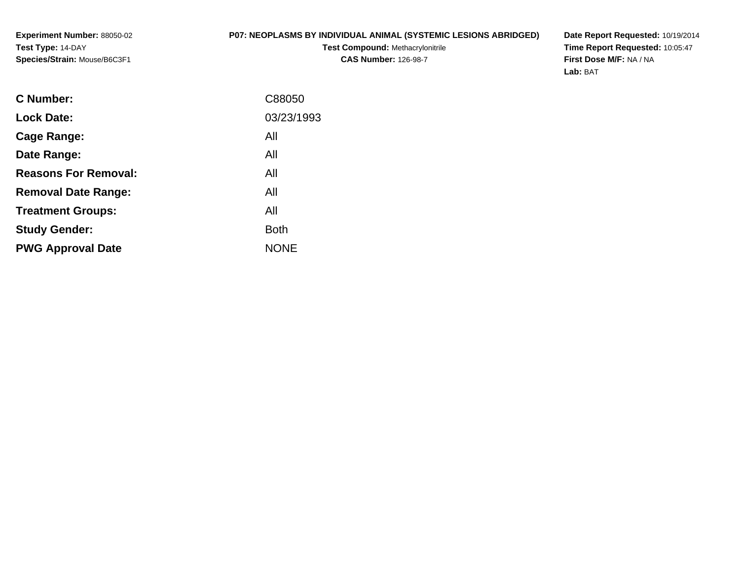## **P07: NEOPLASMS BY INDIVIDUAL ANIMAL (SYSTEMIC LESIONS ABRIDGED)**

**Test Compound:** Methacrylonitrile**CAS Number:** 126-98-7

**Date Report Requested:** 10/19/2014 **Time Report Requested:** 10:05:47**First Dose M/F:** NA / NA**Lab:** BAT

| C88050      |
|-------------|
| 03/23/1993  |
| All         |
| All         |
| All         |
| All         |
| All         |
| <b>Both</b> |
| <b>NONE</b> |
|             |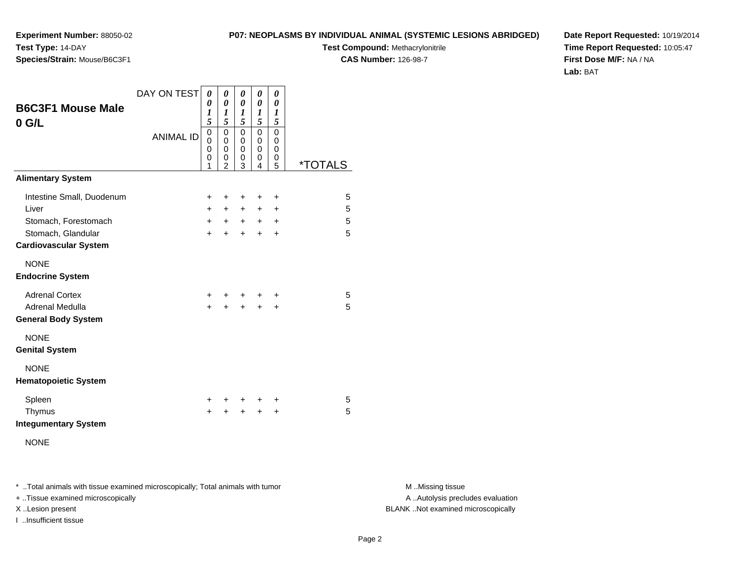**Test Compound:** Methacrylonitrile

**CAS Number:** 126-98-7

**Date Report Requested:** 10/19/2014**Time Report Requested:** 10:05:47**First Dose M/F:** NA / NA**Lab:** BAT

| <b>B6C3F1 Mouse Male</b><br>$0$ G/L<br><b>Alimentary System</b> | DAY ON TEST<br><b>ANIMAL ID</b> | 0<br>$\boldsymbol{\theta}$<br>$\boldsymbol{l}$<br>5<br>$\mathbf 0$<br>0<br>0<br>0<br>1 | 0<br>$\boldsymbol{\theta}$<br>$\boldsymbol{l}$<br>5<br>$\mathbf 0$<br>0<br>$\mathbf 0$<br>0<br>$\overline{2}$ | 0<br>$\boldsymbol{\theta}$<br>$\boldsymbol{l}$<br>5<br>$\mathbf 0$<br>0<br>$\mathbf 0$<br>0<br>3 | 0<br>0<br>1<br>5<br>$\mathsf 0$<br>0<br>$\mathbf 0$<br>0<br>4 | 0<br>$\boldsymbol{\theta}$<br>1<br>5<br>$\mathbf 0$<br>0<br>$\mathbf 0$<br>0<br>5 | <i><b>*TOTALS</b></i> |
|-----------------------------------------------------------------|---------------------------------|----------------------------------------------------------------------------------------|---------------------------------------------------------------------------------------------------------------|--------------------------------------------------------------------------------------------------|---------------------------------------------------------------|-----------------------------------------------------------------------------------|-----------------------|
|                                                                 |                                 |                                                                                        |                                                                                                               |                                                                                                  |                                                               |                                                                                   |                       |
| Intestine Small, Duodenum                                       |                                 | +                                                                                      | +                                                                                                             | +                                                                                                | +                                                             | $\ddot{}$                                                                         | 5                     |
| Liver                                                           |                                 | +                                                                                      | $\ddot{}$                                                                                                     | $+$                                                                                              | $\ddot{}$                                                     | $\ddot{}$                                                                         | 5                     |
| Stomach, Forestomach                                            |                                 | $\ddot{}$                                                                              | $+$                                                                                                           |                                                                                                  | $+$ $+$ $+$                                                   |                                                                                   | 5                     |
| Stomach, Glandular<br><b>Cardiovascular System</b>              |                                 | $\ddot{}$                                                                              | $\ddot{}$                                                                                                     | $+$                                                                                              | $+$                                                           | $\ddot{}$                                                                         | 5                     |
| <b>NONE</b><br><b>Endocrine System</b>                          |                                 |                                                                                        |                                                                                                               |                                                                                                  |                                                               |                                                                                   |                       |
| <b>Adrenal Cortex</b><br>Adrenal Medulla                        |                                 | ÷<br>$\ddot{}$                                                                         | +                                                                                                             | +                                                                                                |                                                               | +                                                                                 | 5<br>5                |
| <b>General Body System</b>                                      |                                 |                                                                                        | +                                                                                                             | $\pm$                                                                                            | $\div$                                                        | +                                                                                 |                       |
| <b>NONE</b><br><b>Genital System</b>                            |                                 |                                                                                        |                                                                                                               |                                                                                                  |                                                               |                                                                                   |                       |
| <b>NONE</b><br><b>Hematopoietic System</b>                      |                                 |                                                                                        |                                                                                                               |                                                                                                  |                                                               |                                                                                   |                       |
| Spleen<br>Thymus<br><b>Integumentary System</b>                 |                                 | ٠<br>$\ddot{}$                                                                         | +<br>$\ddot{}$                                                                                                | ÷<br>$\pm$                                                                                       | ٠<br>$\pm$                                                    | ٠<br>$\ddot{}$                                                                    | 5<br>5                |
| <b>NONE</b>                                                     |                                 |                                                                                        |                                                                                                               |                                                                                                  |                                                               |                                                                                   |                       |

\* ..Total animals with tissue examined microscopically; Total animals with tumor **M** . Missing tissue M ..Missing tissue

+ ..Tissue examined microscopically

**Experiment Number:** 88050-02

**Species/Strain:** Mouse/B6C3F1

**Test Type:** 14-DAY

I ..Insufficient tissue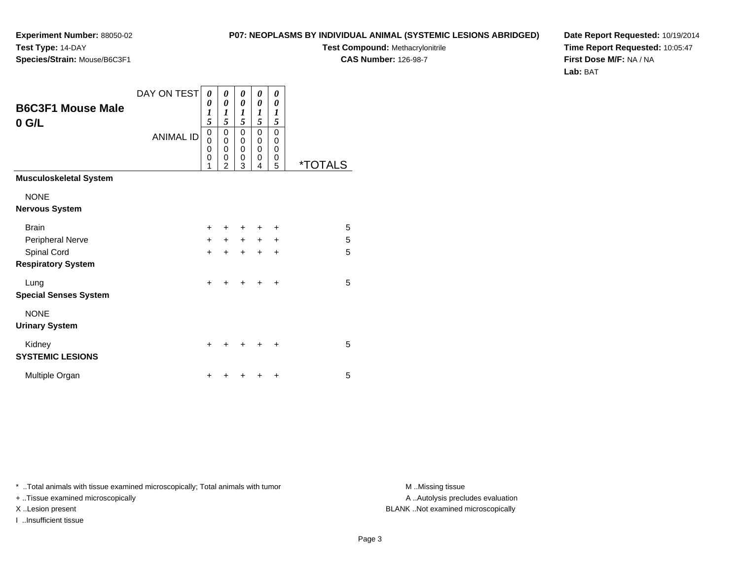**Test Compound:** Methacrylonitrile

**CAS Number:** 126-98-7

**Date Report Requested:** 10/19/2014**Time Report Requested:** 10:05:47**First Dose M/F:** NA / NA**Lab:** BAT

A .. Autolysis precludes evaluation

\* ..Total animals with tissue examined microscopically; Total animals with tumor **M** ...Missing tissue M ...Missing tissue

n  $+$ 

+ ..Tissue examined microscopically

X ..Lesion present BLANK ..Not examined microscopically

I ..Insufficient tissue

**SYSTEMIC LESIONS**

Multiple Organ

|                               | <b>ANIMAL ID</b> | 0<br>$\mathbf 0$<br>0<br>0<br>1 | 0<br>$\mathbf 0$<br>$\mathbf 0$<br>0<br>$\overline{2}$ | 0<br>$\mathbf 0$<br>$\mathbf 0$<br>$\mathbf 0$<br>3 | 0<br>0<br>$\mathbf 0$<br>$\mathbf 0$<br>4 | 0<br>$\mathbf 0$<br>$\mathbf 0$<br>0<br>5 | <i><b>*TOTALS</b></i> |
|-------------------------------|------------------|---------------------------------|--------------------------------------------------------|-----------------------------------------------------|-------------------------------------------|-------------------------------------------|-----------------------|
| <b>Musculoskeletal System</b> |                  |                                 |                                                        |                                                     |                                           |                                           |                       |
| <b>NONE</b>                   |                  |                                 |                                                        |                                                     |                                           |                                           |                       |
| <b>Nervous System</b>         |                  |                                 |                                                        |                                                     |                                           |                                           |                       |
| <b>Brain</b>                  |                  | $\ddot{}$                       | +                                                      | +                                                   | $\pm$                                     | ÷                                         | 5                     |
| Peripheral Nerve              |                  | $+$                             |                                                        | $+$ $+$ $+$                                         |                                           | $\ddot{}$                                 | 5                     |
| Spinal Cord                   |                  | $+$                             | $+$                                                    | $+$                                                 | $+$                                       | $\ddot{}$                                 | 5                     |
| <b>Respiratory System</b>     |                  |                                 |                                                        |                                                     |                                           |                                           |                       |
| Lung                          |                  | $\ddot{}$                       | $\div$                                                 | $\ddot{}$                                           | $\ddot{}$                                 | $\ddot{}$                                 | 5                     |
| <b>Special Senses System</b>  |                  |                                 |                                                        |                                                     |                                           |                                           |                       |
| <b>NONE</b>                   |                  |                                 |                                                        |                                                     |                                           |                                           |                       |
| <b>Urinary System</b>         |                  |                                 |                                                        |                                                     |                                           |                                           |                       |
| Kidney                        |                  | ÷                               | ٠                                                      | +                                                   | ٠                                         | ÷                                         | 5                     |
|                               |                  |                                 |                                                        |                                                     |                                           |                                           |                       |

DAY ON TEST

*0*

*0 1 5*

<sup>+</sup> <sup>+</sup> <sup>+</sup> <sup>+</sup> <sup>5</sup>

**Experiment Number:** 88050-02**Test Type:** 14-DAY**Species/Strain:** Mouse/B6C3F1

**B6C3F1 Mouse Male**

**0 G/L**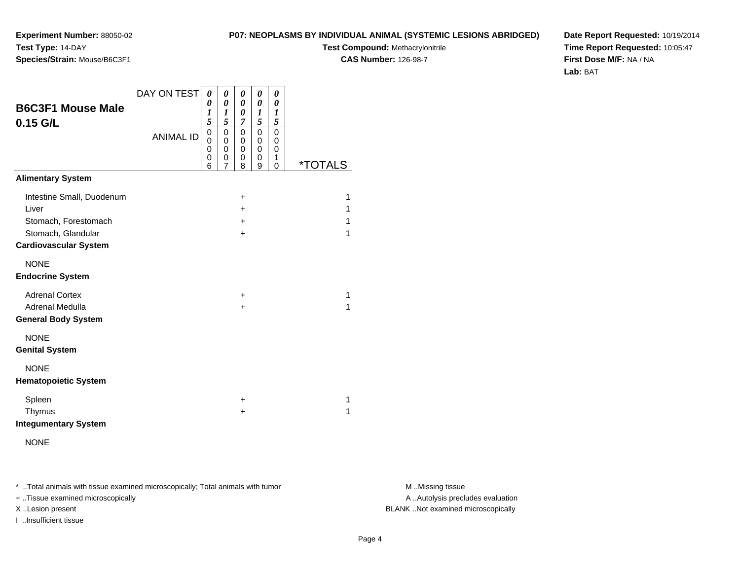**Experiment Number:** 88050-02**Test Type:** 14-DAY**Species/Strain:** Mouse/B6C3F1

**Test Compound:** Methacrylonitrile**CAS Number:** 126-98-7

**Date Report Requested:** 10/19/2014**Time Report Requested:** 10:05:47**First Dose M/F:** NA / NA**Lab:** BAT

| <b>B6C3F1 Mouse Male</b><br>$0.15$ G/L                                                                           | DAY ON TEST<br><b>ANIMAL ID</b> | 0<br>$\theta$<br>1<br>5<br>$\mathbf 0$<br>$\Omega$<br>0<br>0<br>6 | 0<br>0<br>1<br>5<br>$\mathbf 0$<br>$\mathbf 0$<br>0<br>0<br>7 | 0<br>0<br>0<br>$\overline{7}$<br>0<br>0<br>0<br>0<br>8 | 0<br>0<br>1<br>5<br>0<br>0<br>0<br>0<br>9 | 0<br>0<br>1<br>5<br>0<br>0<br>0<br>1<br>$\mathbf 0$ | <i><b>*TOTALS</b></i> |
|------------------------------------------------------------------------------------------------------------------|---------------------------------|-------------------------------------------------------------------|---------------------------------------------------------------|--------------------------------------------------------|-------------------------------------------|-----------------------------------------------------|-----------------------|
| <b>Alimentary System</b>                                                                                         |                                 |                                                                   |                                                               |                                                        |                                           |                                                     |                       |
| Intestine Small, Duodenum<br>Liver<br>Stomach, Forestomach<br>Stomach, Glandular<br><b>Cardiovascular System</b> |                                 |                                                                   |                                                               | +<br>$\pm$<br>$\pm$<br>$\ddot{}$                       |                                           |                                                     | 1<br>1<br>1<br>1      |
| <b>NONE</b><br><b>Endocrine System</b>                                                                           |                                 |                                                                   |                                                               |                                                        |                                           |                                                     |                       |
| <b>Adrenal Cortex</b><br>Adrenal Medulla<br><b>General Body System</b>                                           |                                 |                                                                   |                                                               | +<br>$\ddot{}$                                         |                                           |                                                     | 1<br>1                |
| <b>NONE</b><br><b>Genital System</b>                                                                             |                                 |                                                                   |                                                               |                                                        |                                           |                                                     |                       |
| <b>NONE</b><br><b>Hematopoietic System</b>                                                                       |                                 |                                                                   |                                                               |                                                        |                                           |                                                     |                       |
| Spleen<br>Thymus<br><b>Integumentary System</b>                                                                  |                                 |                                                                   |                                                               | +<br>$\pm$                                             |                                           |                                                     | 1<br>1                |

NONE

\* ..Total animals with tissue examined microscopically; Total animals with tumor **M** . Missing tissue M ..Missing tissue

+ ..Tissue examined microscopically

I ..Insufficient tissue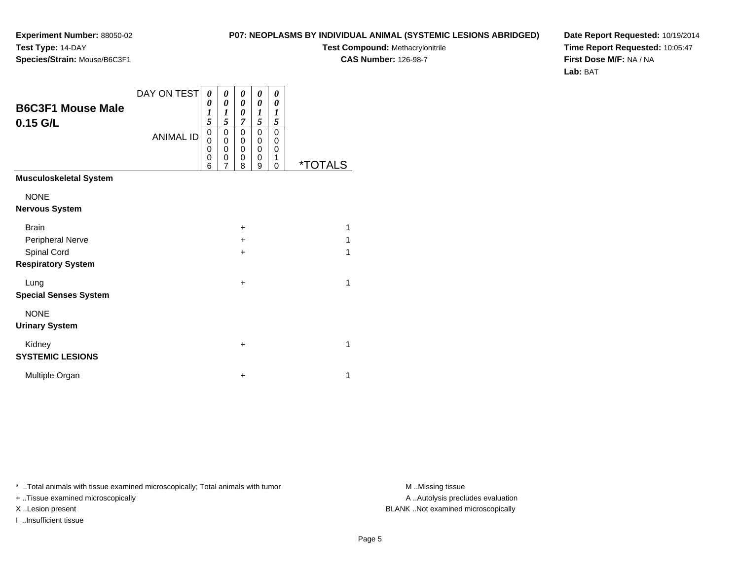**Test Compound:** Methacrylonitrile

**CAS Number:** 126-98-7

**Date Report Requested:** 10/19/2014**Time Report Requested:** 10:05:47**First Dose M/F:** NA / NA**Lab:** BAT

|                               | DAY ON TEST      | 0      | 0      | 0         | 0      | 0           |                       |
|-------------------------------|------------------|--------|--------|-----------|--------|-------------|-----------------------|
| <b>B6C3F1 Mouse Male</b>      |                  | 0<br>1 | 0<br>1 | 0<br>0    | 0<br>1 | 0<br>1      |                       |
| $0.15$ G/L                    |                  | 5      | 5      | 7         | 5      | 5           |                       |
|                               | <b>ANIMAL ID</b> | 0<br>0 | 0<br>0 | 0<br>0    | 0<br>0 | 0<br>0      |                       |
|                               |                  | 0      | 0      | 0         | 0      | $\mathbf 0$ |                       |
|                               |                  | 0<br>6 | 0<br>7 | 0<br>8    | 0<br>9 | 1<br>0      | <i><b>*TOTALS</b></i> |
| <b>Musculoskeletal System</b> |                  |        |        |           |        |             |                       |
| <b>NONE</b>                   |                  |        |        |           |        |             |                       |
| <b>Nervous System</b>         |                  |        |        |           |        |             |                       |
| <b>Brain</b>                  |                  |        |        | $\ddot{}$ |        |             | 1                     |
| Peripheral Nerve              |                  |        |        | $\div$    |        |             | 1                     |
| Spinal Cord                   |                  |        |        | $\ddot{}$ |        |             | 1                     |
| <b>Respiratory System</b>     |                  |        |        |           |        |             |                       |
| Lung                          |                  |        |        | $\ddot{}$ |        |             | 1                     |
| <b>Special Senses System</b>  |                  |        |        |           |        |             |                       |

NONE

**Urinary System**

#### Kidney $\mathsf y$  + **SYSTEMIC LESIONS**

**Experiment Number:** 88050-02

**Species/Strain:** Mouse/B6C3F1

**Test Type:** 14-DAY

Multiple Organn  $+$  $+$  1

\* ..Total animals with tissue examined microscopically; Total animals with tumor **M** . Missing tissue M ..Missing tissue

+ ..Tissue examined microscopically

I ..Insufficient tissue

A ..Autolysis precludes evaluation X ..Lesion present BLANK ..Not examined microscopically

 $+$  1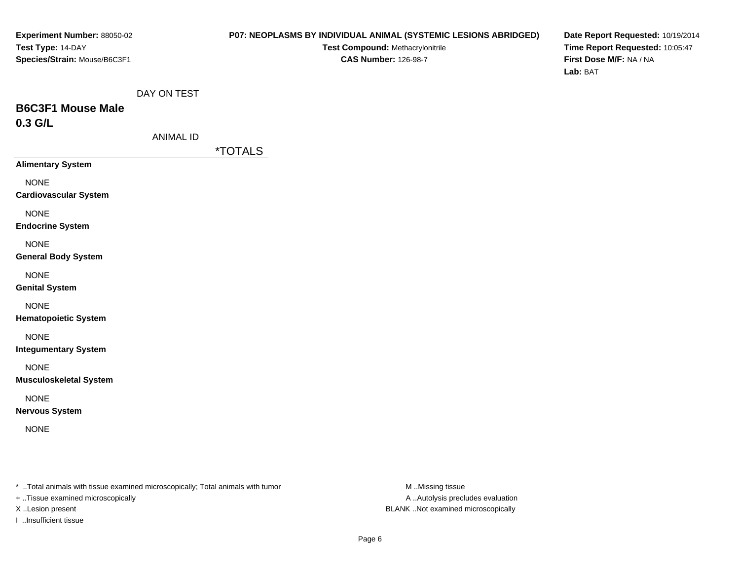### **P07: NEOPLASMS BY INDIVIDUAL ANIMAL (SYSTEMIC LESIONS ABRIDGED)**

**Test Compound:** Methacrylonitrile**CAS Number:** 126-98-7

**Date Report Requested:** 10/19/2014**Time Report Requested:** 10:05:47**First Dose M/F:** NA / NA**Lab:** BAT

## **B6C3F1 Mouse Male0.3 G/L**

\*TOTALS

**Alimentary System**

NONE

**Cardiovascular System**

NONE

**Endocrine System**

NONE

**General Body System**

NONE

**Genital System**

NONE

**Hematopoietic System**

NONE

**Integumentary System**

NONE

**Musculoskeletal System**

NONE

**Nervous System**

NONE

\* ..Total animals with tissue examined microscopically; Total animals with tumor **M** ..Missing tissue M ..Missing tissue

+ ..Tissue examined microscopically

I ..Insufficient tissue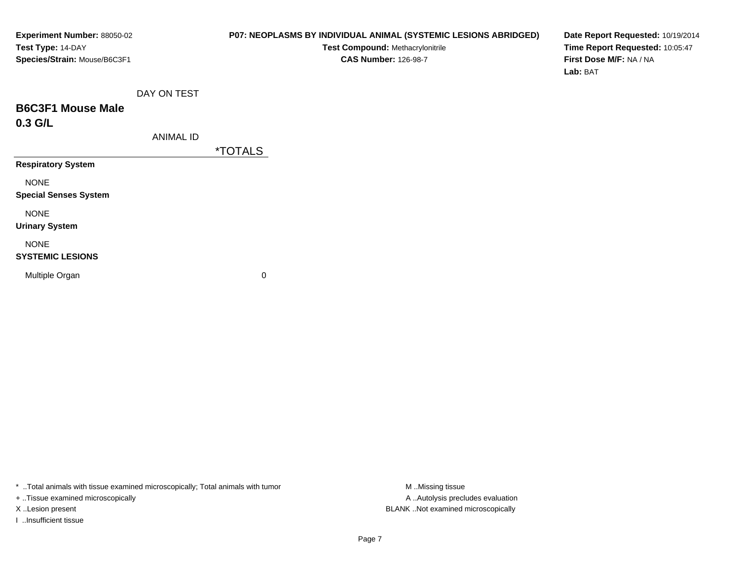| <b>Experiment Number: 88050-02</b> |
|------------------------------------|
| Test Type: 14-DAY                  |
| Species/Strain: Mouse/B6C3F1       |

**Test Compound:** Methacrylonitrile**CAS Number:** 126-98-7

**Date Report Requested:** 10/19/2014**Time Report Requested:** 10:05:47**First Dose M/F:** NA / NA**Lab:** BAT

## **B6C3F1 Mouse Male0.3 G/L**

ANIMAL ID

\*TOTALS

**Respiratory System**

NONE

**Special Senses System**

NONE

**Urinary System**

NONE

### **SYSTEMIC LESIONS**

Multiple Organ

 $\mathbf n$  0

\* ..Total animals with tissue examined microscopically; Total animals with tumor **M** ...Missing tissue M ...Missing tissue

+ ..Tissue examined microscopically

I ..Insufficient tissue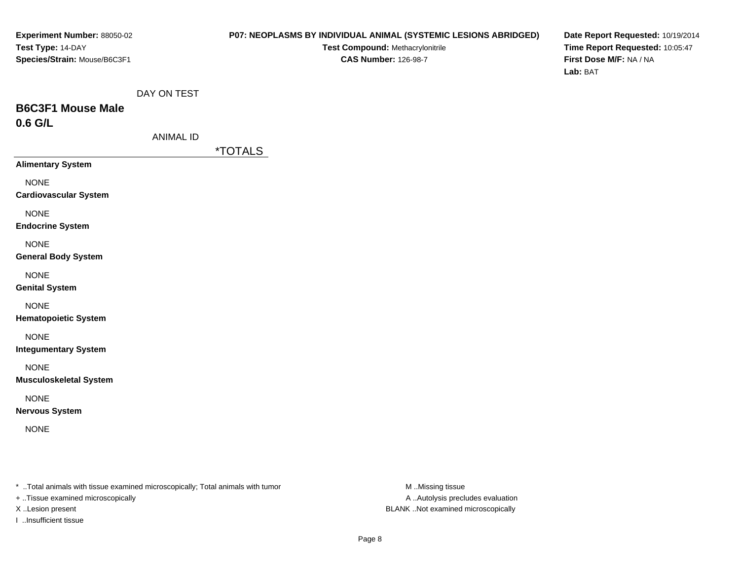### **P07: NEOPLASMS BY INDIVIDUAL ANIMAL (SYSTEMIC LESIONS ABRIDGED)**

**Test Compound:** Methacrylonitrile**CAS Number:** 126-98-7

**Date Report Requested:** 10/19/2014**Time Report Requested:** 10:05:47**First Dose M/F:** NA / NA**Lab:** BAT

## **B6C3F1 Mouse Male0.6 G/L**

|  | ANIMAL ID |
|--|-----------|
|--|-----------|

\*TOTALS

**Alimentary System**

NONE

**Cardiovascular System**

NONE

**Endocrine System**

NONE

**General Body System**

NONE

**Genital System**

NONE

**Hematopoietic System**

NONE

**Integumentary System**

NONE

**Musculoskeletal System**

NONE

**Nervous System**

NONE

\* ..Total animals with tissue examined microscopically; Total animals with tumor **M** ..Missing tissue M ..Missing tissue

+ ..Tissue examined microscopically

I ..Insufficient tissue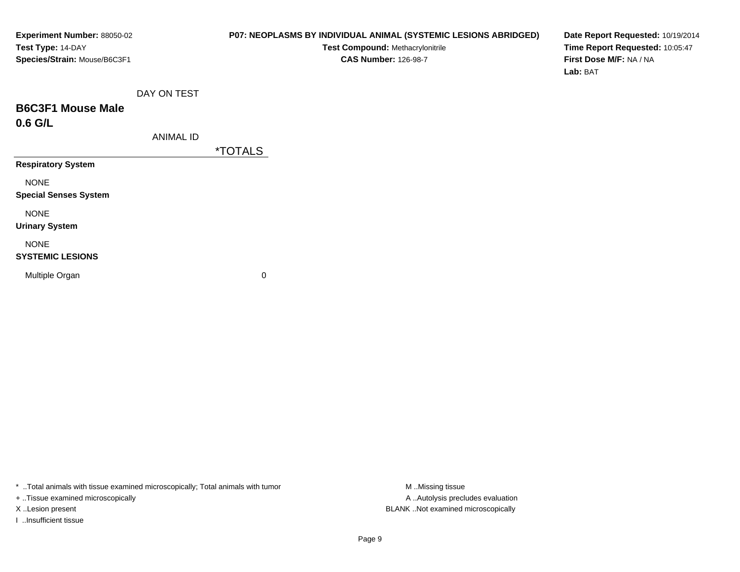| <b>Experiment Number: 88050-02</b> |  |
|------------------------------------|--|
| Test Type: 14-DAY                  |  |
| Species/Strain: Mouse/B6C3F1       |  |

**Test Compound:** Methacrylonitrile**CAS Number:** 126-98-7

**Date Report Requested:** 10/19/2014**Time Report Requested:** 10:05:47**First Dose M/F:** NA / NA**Lab:** BAT

## **B6C3F1 Mouse Male0.6 G/L**

ANIMAL ID

\*TOTALS

**Respiratory System**

NONE

**Special Senses System**

NONE

**Urinary System**

### NONE

### **SYSTEMIC LESIONS**

Multiple Organ

 $\mathbf n$  0

\* ..Total animals with tissue examined microscopically; Total animals with tumor **M** ...Missing tissue M ...Missing tissue

+ ..Tissue examined microscopically

I ..Insufficient tissue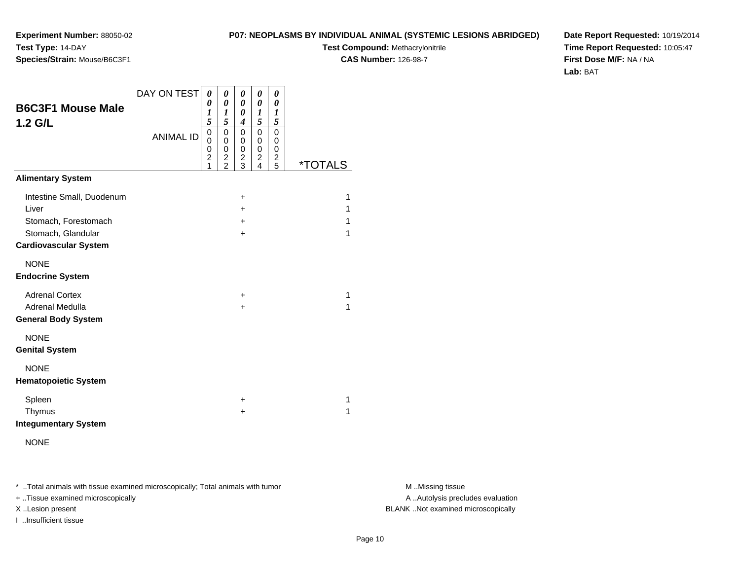**Test Compound:** Methacrylonitrile

**CAS Number:** 126-98-7

**Date Report Requested:** 10/19/2014**Time Report Requested:** 10:05:47**First Dose M/F:** NA / NA**Lab:** BAT

| <b>B6C3F1 Mouse Male</b><br>$1.2$ G/L                                                                            | DAY ON TEST<br><b>ANIMAL ID</b> | 0<br>0<br>1<br>5<br>0<br>0<br>0<br>$\overline{c}$<br>1 | 0<br>0<br>1<br>5<br>$\mathsf 0$<br>0<br>0<br>$\overline{\mathbf{c}}$<br>$\overline{2}$ | 0<br>$\theta$<br>0<br>$\boldsymbol{4}$<br>$\mathbf 0$<br>0<br>0<br>$\overline{\mathbf{c}}$<br>3 | 0<br>$\boldsymbol{\theta}$<br>$\boldsymbol{l}$<br>5<br>0<br>0<br>0<br>$\overline{c}$<br>4 | 0<br>0<br>$\boldsymbol{l}$<br>5<br>$\mathbf 0$<br>0<br>0<br>$\overline{\mathbf{c}}$<br>5 | <i><b>*TOTALS</b></i> |
|------------------------------------------------------------------------------------------------------------------|---------------------------------|--------------------------------------------------------|----------------------------------------------------------------------------------------|-------------------------------------------------------------------------------------------------|-------------------------------------------------------------------------------------------|------------------------------------------------------------------------------------------|-----------------------|
| <b>Alimentary System</b>                                                                                         |                                 |                                                        |                                                                                        |                                                                                                 |                                                                                           |                                                                                          |                       |
| Intestine Small, Duodenum<br>Liver<br>Stomach, Forestomach<br>Stomach, Glandular<br><b>Cardiovascular System</b> |                                 |                                                        |                                                                                        | $\ddot{}$<br>$\ddot{}$<br>$\ddot{}$<br>$\ddot{}$                                                |                                                                                           |                                                                                          | 1<br>1<br>1<br>1      |
| <b>NONE</b><br><b>Endocrine System</b>                                                                           |                                 |                                                        |                                                                                        |                                                                                                 |                                                                                           |                                                                                          |                       |
| <b>Adrenal Cortex</b><br>Adrenal Medulla<br><b>General Body System</b>                                           |                                 |                                                        |                                                                                        | +<br>+                                                                                          |                                                                                           |                                                                                          | 1<br>$\mathbf{1}$     |
| <b>NONE</b><br><b>Genital System</b>                                                                             |                                 |                                                        |                                                                                        |                                                                                                 |                                                                                           |                                                                                          |                       |
| <b>NONE</b><br><b>Hematopoietic System</b>                                                                       |                                 |                                                        |                                                                                        |                                                                                                 |                                                                                           |                                                                                          |                       |
| Spleen<br>Thymus<br><b>Integumentary System</b><br><b>NONE</b>                                                   |                                 |                                                        |                                                                                        | +<br>+                                                                                          |                                                                                           |                                                                                          | 1<br>$\mathbf{1}$     |

\* ..Total animals with tissue examined microscopically; Total animals with tumor **M** . Missing tissue M ..Missing tissue

+ ..Tissue examined microscopically

**Experiment Number:** 88050-02

**Species/Strain:** Mouse/B6C3F1

**Test Type:** 14-DAY

I ..Insufficient tissue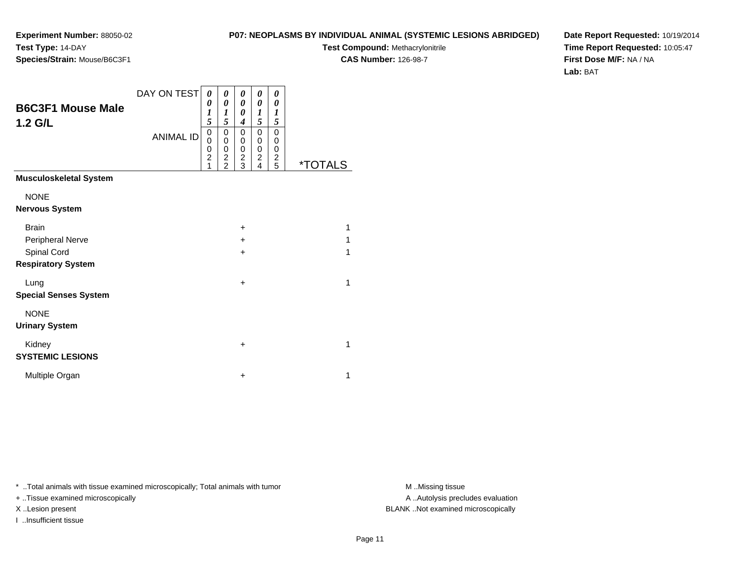**Test Compound:** Methacrylonitrile

**CAS Number:** 126-98-7

**Date Report Requested:** 10/19/2014**Time Report Requested:** 10:05:47**First Dose M/F:** NA / NA**Lab:** BAT

| <b>B6C3F1 Mouse Male</b><br>$1.2$ G/L    | DAY ON TEST<br><b>ANIMAL ID</b> | 0<br>0<br>$\boldsymbol{l}$<br>5<br>$\mathbf 0$<br>0 | 0<br>$\boldsymbol{\theta}$<br>$\boldsymbol{l}$<br>5<br>0<br>0 | 0<br>$\theta$<br>0<br>$\boldsymbol{4}$<br>0<br>0 | 0<br>0<br>1<br>5<br>$\mathbf 0$<br>0 | 0<br>0<br>1<br>5<br>$\mathbf 0$<br>0 |                       |
|------------------------------------------|---------------------------------|-----------------------------------------------------|---------------------------------------------------------------|--------------------------------------------------|--------------------------------------|--------------------------------------|-----------------------|
|                                          |                                 | 0<br>$\overline{c}$<br>1                            | 0<br>$\frac{2}{2}$                                            | $\mathbf 0$<br>$\frac{2}{3}$                     | 0<br>$\overline{\mathbf{c}}$<br>4    | $\mathbf 0$<br>$\boldsymbol{2}$<br>5 | <i><b>*TOTALS</b></i> |
| <b>Musculoskeletal System</b>            |                                 |                                                     |                                                               |                                                  |                                      |                                      |                       |
| <b>NONE</b><br><b>Nervous System</b>     |                                 |                                                     |                                                               |                                                  |                                      |                                      |                       |
| <b>Brain</b><br>Peripheral Nerve         |                                 |                                                     |                                                               | +<br>+                                           |                                      |                                      | 1<br>1                |
| Spinal Cord<br><b>Respiratory System</b> |                                 |                                                     |                                                               | $\ddot{}$                                        |                                      |                                      | 1                     |
| Lung<br><b>Special Senses System</b>     |                                 |                                                     |                                                               | $\ddot{}$                                        |                                      |                                      | 1                     |
| <b>NONE</b><br><b>Urinary System</b>     |                                 |                                                     |                                                               |                                                  |                                      |                                      |                       |
| Kidney<br><b>SYSTEMIC LESIONS</b>        |                                 |                                                     |                                                               | $\ddot{}$                                        |                                      |                                      | 1                     |
| Multiple Organ                           |                                 |                                                     |                                                               | +                                                |                                      |                                      | 1                     |

\* ..Total animals with tissue examined microscopically; Total animals with tumor **M** . Missing tissue M ..Missing tissue

+ ..Tissue examined microscopically

I ..Insufficient tissue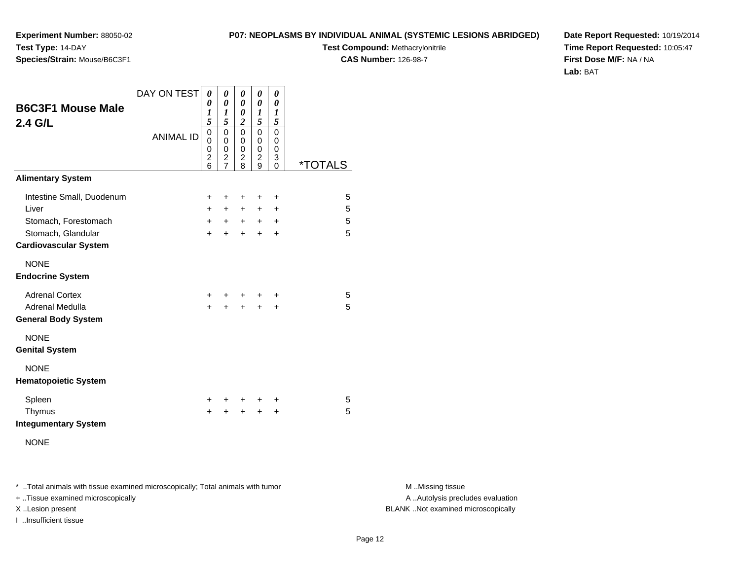**Test Compound:** Methacrylonitrile

**CAS Number:** 126-98-7

**Date Report Requested:** 10/19/2014**Time Report Requested:** 10:05:47**First Dose M/F:** NA / NA**Lab:** BAT

| <b>B6C3F1 Mouse Male</b><br>2.4 G/L                                                                              | DAY ON TEST<br><b>ANIMAL ID</b> | 0<br>0<br>1<br>5<br>0<br>$\Omega$<br>0<br>$\overline{\mathbf{c}}$ | 0<br>0<br>1<br>5<br>0<br>$\Omega$<br>$\mathbf 0$<br>$\overline{\mathbf{c}}$ | 0<br>0<br>0<br>$\overline{c}$<br>$\mathbf 0$<br>0<br>0<br>$\overline{\mathbf{c}}$ | 0<br>0<br>1<br>5<br>$\mathbf 0$<br>0<br>0<br>$\overline{\mathbf{c}}$ | 0<br>0<br>1<br>5<br>$\mathbf 0$<br>0<br>$\mathbf 0$<br>3 |                       |
|------------------------------------------------------------------------------------------------------------------|---------------------------------|-------------------------------------------------------------------|-----------------------------------------------------------------------------|-----------------------------------------------------------------------------------|----------------------------------------------------------------------|----------------------------------------------------------|-----------------------|
| <b>Alimentary System</b>                                                                                         |                                 | 6                                                                 | $\overline{7}$                                                              | 8                                                                                 | 9                                                                    | $\Omega$                                                 | <i><b>*TOTALS</b></i> |
| Intestine Small, Duodenum<br>Liver<br>Stomach, Forestomach<br>Stomach, Glandular<br><b>Cardiovascular System</b> |                                 | +<br>$+$<br>$\ddot{}$<br>$\ddot{}$                                | ÷<br>$+$<br>$+$<br>+                                                        | ÷<br>$+$<br>$+$<br>$\ddot{}$                                                      | ÷<br>$\ddot{}$<br>$+$<br>$\ddot{}$                                   | ÷<br>$\ddot{}$<br>$\ddot{}$<br>+                         | 5<br>5<br>5<br>5      |
| <b>NONE</b><br><b>Endocrine System</b>                                                                           |                                 |                                                                   |                                                                             |                                                                                   |                                                                      |                                                          |                       |
| <b>Adrenal Cortex</b><br>Adrenal Medulla<br><b>General Body System</b>                                           |                                 | ٠<br>+                                                            | +                                                                           | +                                                                                 | ٠<br>+                                                               | ٠<br>+                                                   | 5<br>5                |
| <b>NONE</b><br><b>Genital System</b>                                                                             |                                 |                                                                   |                                                                             |                                                                                   |                                                                      |                                                          |                       |
| <b>NONE</b><br><b>Hematopoietic System</b>                                                                       |                                 |                                                                   |                                                                             |                                                                                   |                                                                      |                                                          |                       |
| Spleen<br>Thymus<br><b>Integumentary System</b><br><b>NONE</b>                                                   |                                 | ÷<br>$\ddot{}$                                                    | ÷                                                                           | ÷<br>$\div$                                                                       | ÷<br>$\ddot{}$                                                       | +<br>٠                                                   | 5<br>5                |

\* ..Total animals with tissue examined microscopically; Total animals with tumor **M** . Missing tissue M ..Missing tissue

+ ..Tissue examined microscopically

**Experiment Number:** 88050-02

**Species/Strain:** Mouse/B6C3F1

**Test Type:** 14-DAY

I ..Insufficient tissue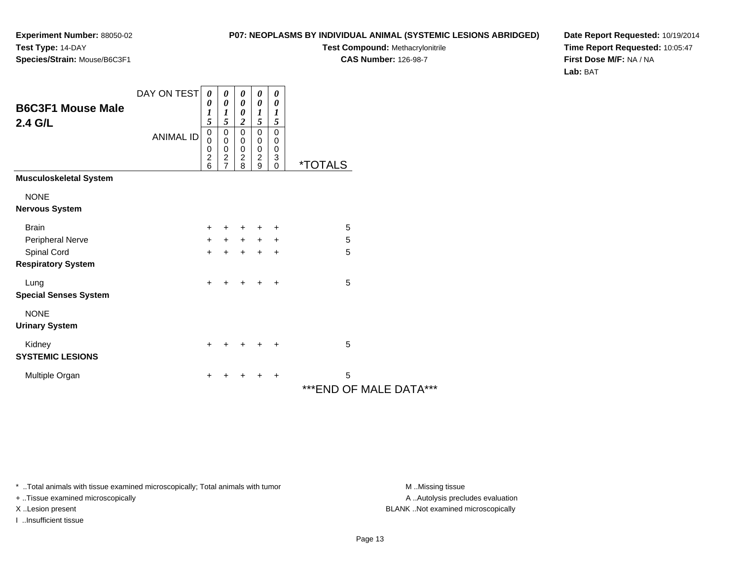## **P07: NEOPLASMS BY INDIVIDUAL ANIMAL (SYSTEMIC LESIONS ABRIDGED)**

**Test Compound:** Methacrylonitrile

**CAS Number:** 126-98-7

**Date Report Requested:** 10/19/2014**Time Report Requested:** 10:05:47**First Dose M/F:** NA / NA**Lab:** BAT

| <b>B6C3F1 Mouse Male</b><br>2.4 G/L      | DAY ON TEST      | 0<br>0<br>1<br>5<br>$\mathbf 0$ | 0<br>0<br>$\boldsymbol{l}$<br>5<br>$\pmb{0}$    | 0<br>$\boldsymbol{\theta}$<br>$\boldsymbol{\theta}$<br>$\boldsymbol{2}$<br>$\overline{0}$ | 0<br>0<br>$\boldsymbol{l}$<br>5<br>$\pmb{0}$ | 0<br>0<br>$\boldsymbol{l}$<br>$\sqrt{5}$<br>$\pmb{0}$ |                       |                        |
|------------------------------------------|------------------|---------------------------------|-------------------------------------------------|-------------------------------------------------------------------------------------------|----------------------------------------------|-------------------------------------------------------|-----------------------|------------------------|
|                                          | <b>ANIMAL ID</b> | 0<br>0<br>$\boldsymbol{2}$<br>6 | 0<br>$\begin{array}{c} 0 \\ 2 \\ 7 \end{array}$ | 0<br>$\pmb{0}$<br>$^{\mathsf{2}}_{\mathsf{8}}$                                            | 0<br>$\pmb{0}$<br>$\overline{c}$<br>9        | 0<br>$\pmb{0}$<br>3<br>$\mathbf 0$                    | <i><b>*TOTALS</b></i> |                        |
| <b>Musculoskeletal System</b>            |                  |                                 |                                                 |                                                                                           |                                              |                                                       |                       |                        |
| <b>NONE</b><br><b>Nervous System</b>     |                  |                                 |                                                 |                                                                                           |                                              |                                                       |                       |                        |
| <b>Brain</b>                             |                  | $\ddot{}$                       | $+$                                             | $\ddot{}$                                                                                 | $+$                                          | +                                                     | 5                     |                        |
| Peripheral Nerve                         |                  | $\ddot{}$                       | $+$                                             | $+$                                                                                       | $+$                                          | $\ddot{}$                                             | 5                     |                        |
| Spinal Cord<br><b>Respiratory System</b> |                  | $+$                             | $+$                                             | $+$                                                                                       | $+$                                          | $\ddot{}$                                             | 5                     |                        |
| Lung<br><b>Special Senses System</b>     |                  | $\ddot{}$                       | $\div$                                          | $\div$                                                                                    | $\ddot{}$                                    | $\ddot{}$                                             | 5                     |                        |
| <b>NONE</b><br><b>Urinary System</b>     |                  |                                 |                                                 |                                                                                           |                                              |                                                       |                       |                        |
| Kidney<br><b>SYSTEMIC LESIONS</b>        |                  | $\ddot{}$                       |                                                 |                                                                                           | ÷                                            | ÷                                                     | 5                     |                        |
| Multiple Organ                           |                  | $\ddot{}$                       |                                                 | +                                                                                         | ٠                                            | ÷                                                     | 5                     | ***END OF MALE DATA*** |

\* ..Total animals with tissue examined microscopically; Total animals with tumor **M** . Missing tissue M ..Missing tissue

+ ..Tissue examined microscopically

I ..Insufficient tissue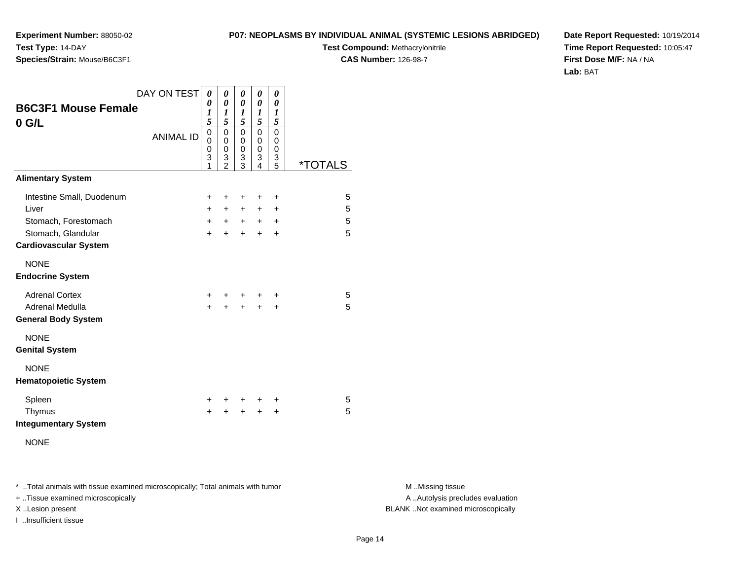**Experiment Number:** 88050-02**Test Type:** 14-DAY**Species/Strain:** Mouse/B6C3F1

**Test Compound:** Methacrylonitrile**CAS Number:** 126-98-7

**Date Report Requested:** 10/19/2014**Time Report Requested:** 10:05:47**First Dose M/F:** NA / NA**Lab:** BAT

| <b>B6C3F1 Mouse Female</b>                         | DAY ON TEST      | 0<br>0                                    | 0<br>0                        | 0<br>0                          | 0<br>0                          | 0<br>0                                       |                       |
|----------------------------------------------------|------------------|-------------------------------------------|-------------------------------|---------------------------------|---------------------------------|----------------------------------------------|-----------------------|
| $0$ G/L                                            |                  | $\boldsymbol{l}$<br>5                     | 1<br>5                        | 1<br>5                          | 1<br>5                          | 1<br>5                                       |                       |
|                                                    | <b>ANIMAL ID</b> | $\mathsf 0$<br>$\mathbf 0$<br>0<br>3<br>1 | 0<br>0<br>0<br>3<br>$\bar{z}$ | $\mathbf 0$<br>0<br>0<br>3<br>3 | $\mathbf 0$<br>0<br>0<br>3<br>4 | $\mathbf 0$<br>0<br>0<br>3<br>$\overline{5}$ | <i><b>*TOTALS</b></i> |
| <b>Alimentary System</b>                           |                  |                                           |                               |                                 |                                 |                                              |                       |
| Intestine Small, Duodenum                          |                  | $\ddot{}$                                 | +                             | +                               | +                               | +                                            | 5                     |
| Liver                                              |                  | $+$                                       | $+$                           | $+$                             | $+$                             | $\ddot{}$                                    | 5                     |
| Stomach, Forestomach                               |                  | $+$                                       | $+$                           | $+$                             | $+$                             | $\ddot{}$                                    | 5                     |
| Stomach, Glandular<br><b>Cardiovascular System</b> |                  | $+$                                       | $\ddot{}$                     | $\ddot{}$                       | $+$                             | $\ddot{}$                                    | 5                     |
| <b>NONE</b><br><b>Endocrine System</b>             |                  |                                           |                               |                                 |                                 |                                              |                       |
| <b>Adrenal Cortex</b>                              |                  | $\pm$                                     |                               |                                 | ÷                               | ÷                                            | 5                     |
| Adrenal Medulla                                    |                  | $\ddot{}$                                 | +                             | $\ddot{}$                       | $\ddot{}$                       | +                                            | 5                     |
| <b>General Body System</b>                         |                  |                                           |                               |                                 |                                 |                                              |                       |
| <b>NONE</b><br><b>Genital System</b>               |                  |                                           |                               |                                 |                                 |                                              |                       |
| <b>NONE</b><br><b>Hematopoietic System</b>         |                  |                                           |                               |                                 |                                 |                                              |                       |
| Spleen                                             |                  | ÷                                         | ٠                             | +                               | $\pm$                           | ÷                                            | 5                     |
| Thymus<br><b>Integumentary System</b>              |                  | $\ddot{}$                                 |                               | $\ddot{}$                       | $\ddot{}$                       | $\ddot{}$                                    | 5                     |
| <b>NONE</b>                                        |                  |                                           |                               |                                 |                                 |                                              |                       |

\* ..Total animals with tissue examined microscopically; Total animals with tumor **M** . Missing tissue M ..Missing tissue

+ ..Tissue examined microscopically

I ..Insufficient tissue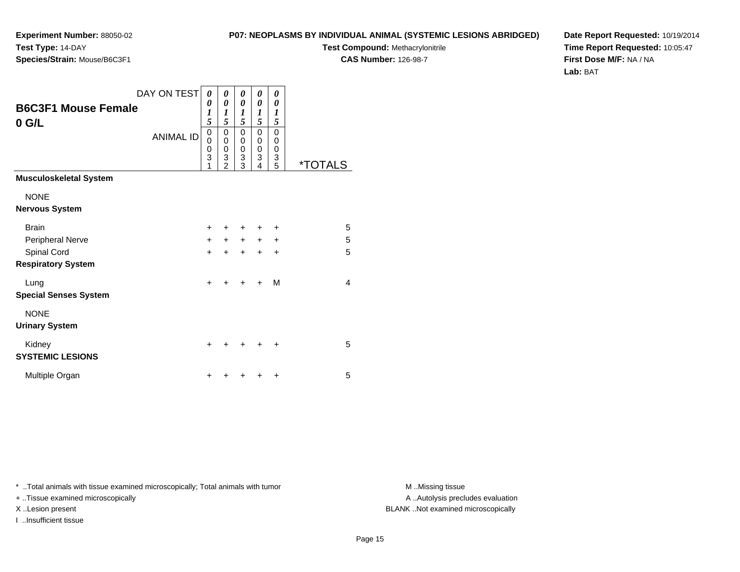**Test Compound:** Methacrylonitrile

**CAS Number:** 126-98-7

**Date Report Requested:** 10/19/2014**Time Report Requested:** 10:05:47**First Dose M/F:** NA / NA**Lab:** BAT

|                                       | DAY ON TEST      | 0                | 0                                                    | 0                            | 0                                         | 0                               |                       |
|---------------------------------------|------------------|------------------|------------------------------------------------------|------------------------------|-------------------------------------------|---------------------------------|-----------------------|
| <b>B6C3F1 Mouse Female</b><br>$0$ G/L |                  | 0<br>1<br>5      | $\pmb{\theta}$<br>1<br>5                             | 0<br>1<br>5                  | 0<br>1<br>5                               | 0<br>1<br>5                     |                       |
|                                       | <b>ANIMAL ID</b> | 0<br>0<br>0<br>3 | 0<br>0<br>$\begin{array}{c} 0 \\ 3 \\ 2 \end{array}$ | 0<br>0<br>0<br>$\frac{3}{3}$ | $\mathbf 0$<br>0<br>$\mathbf 0$<br>3<br>4 | $\mathbf 0$<br>0<br>0<br>3<br>5 | <i><b>*TOTALS</b></i> |
| <b>Musculoskeletal System</b>         |                  |                  |                                                      |                              |                                           |                                 |                       |
| <b>NONE</b>                           |                  |                  |                                                      |                              |                                           |                                 |                       |
| <b>Nervous System</b>                 |                  |                  |                                                      |                              |                                           |                                 |                       |
| <b>Brain</b>                          |                  | ÷                | +                                                    | +                            | ٠                                         | ٠                               | 5                     |
| Peripheral Nerve                      |                  | $+$              | $\ddot{}$                                            | $+$                          | $\ddot{}$                                 | $\ddot{}$                       | 5                     |
| Spinal Cord                           |                  | $\ddot{}$        | $\ddot{}$                                            | $\ddot{}$                    | $\ddot{}$                                 | $\ddot{}$                       | 5                     |
| <b>Respiratory System</b>             |                  |                  |                                                      |                              |                                           |                                 |                       |
| Lung<br><b>Special Senses System</b>  |                  | $\ddot{}$        | ٠                                                    | ٠                            | +                                         | M                               | $\overline{4}$        |
| <b>NONE</b><br><b>Urinary System</b>  |                  |                  |                                                      |                              |                                           |                                 |                       |
| Kidney<br><b>SYSTEMIC LESIONS</b>     |                  | ÷                |                                                      |                              |                                           | +                               | 5                     |
| Multiple Organ                        |                  | ٠                |                                                      |                              |                                           | +                               | 5                     |

\* ..Total animals with tissue examined microscopically; Total animals with tumor **M** . Missing tissue M ..Missing tissue

+ ..Tissue examined microscopically

I ..Insufficient tissue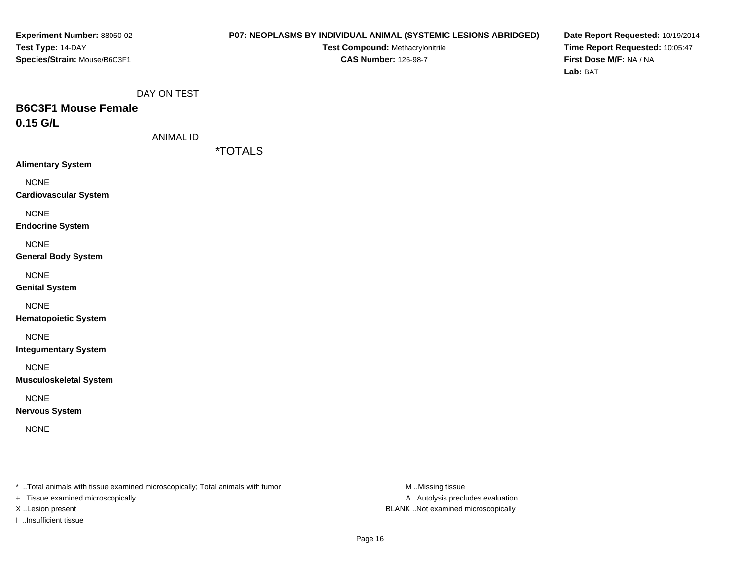### **P07: NEOPLASMS BY INDIVIDUAL ANIMAL (SYSTEMIC LESIONS ABRIDGED)**

**Test Compound:** Methacrylonitrile**CAS Number:** 126-98-7

**Date Report Requested:** 10/19/2014**Time Report Requested:** 10:05:47**First Dose M/F:** NA / NA**Lab:** BAT

DAY ON TEST

# **B6C3F1 Mouse Female0.15 G/L**

ANIMAL ID

\*TOTALS

**Alimentary System**

NONE

**Cardiovascular System**

NONE

**Endocrine System**

NONE

**General Body System**

NONE

**Genital System**

NONE

**Hematopoietic System**

NONE

**Integumentary System**

NONE

**Musculoskeletal System**

NONE

**Nervous System**

NONE

\* ..Total animals with tissue examined microscopically; Total animals with tumor **M** ..Missing tissue M ..Missing tissue

+ ..Tissue examined microscopically

I ..Insufficient tissue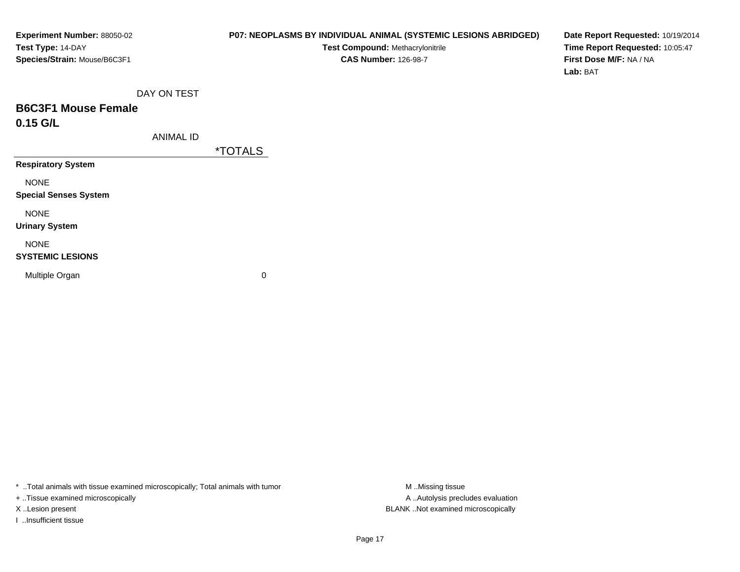### **P07: NEOPLASMS BY INDIVIDUAL ANIMAL (SYSTEMIC LESIONS ABRIDGED)**

**Test Compound:** Methacrylonitrile**CAS Number:** 126-98-7

**Date Report Requested:** 10/19/2014**Time Report Requested:** 10:05:47**First Dose M/F:** NA / NA**Lab:** BAT

DAY ON TEST

# **B6C3F1 Mouse Female0.15 G/L**

ANIMAL ID

\*TOTALS

**Respiratory System**

NONE

**Special Senses System**

NONE

**Urinary System**

NONE

### **SYSTEMIC LESIONS**

Multiple Organ

 $\mathbf n$  0

\* ..Total animals with tissue examined microscopically; Total animals with tumor **M** ..Missing tissue M ..Missing tissue

+ ..Tissue examined microscopically

I ..Insufficient tissue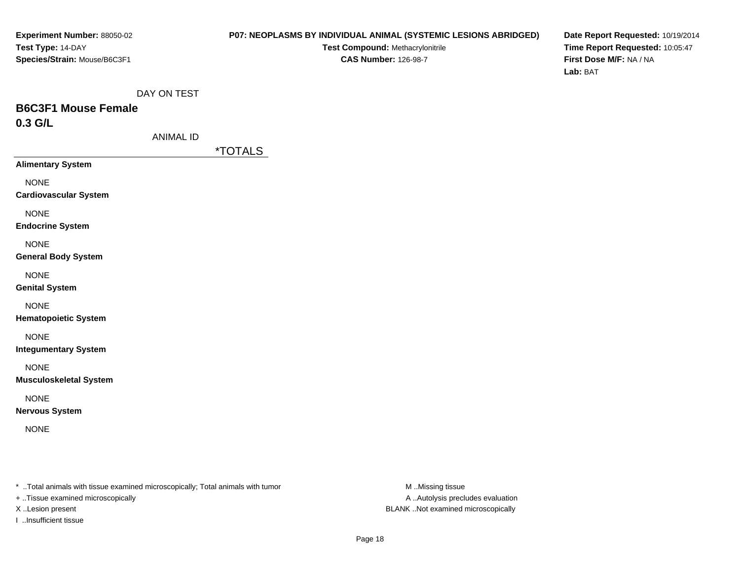### **P07: NEOPLASMS BY INDIVIDUAL ANIMAL (SYSTEMIC LESIONS ABRIDGED)**

**Test Compound:** Methacrylonitrile**CAS Number:** 126-98-7

**Date Report Requested:** 10/19/2014**Time Report Requested:** 10:05:47**First Dose M/F:** NA / NA**Lab:** BAT

DAY ON TEST

# **B6C3F1 Mouse Female0.3 G/L**

ANIMAL ID

\*TOTALS

**Alimentary System**

NONE

**Cardiovascular System**

NONE

**Endocrine System**

NONE

**General Body System**

NONE

**Genital System**

NONE

**Hematopoietic System**

NONE

**Integumentary System**

NONE

**Musculoskeletal System**

NONE

**Nervous System**

NONE

\* ..Total animals with tissue examined microscopically; Total animals with tumor **M** ..Missing tissue M ..Missing tissue

+ ..Tissue examined microscopically

I ..Insufficient tissue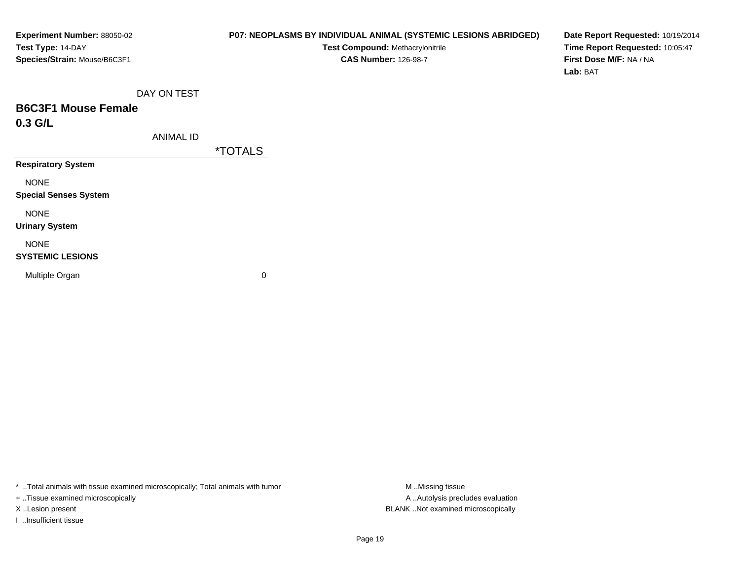### **P07: NEOPLASMS BY INDIVIDUAL ANIMAL (SYSTEMIC LESIONS ABRIDGED)**

**Test Compound:** Methacrylonitrile**CAS Number:** 126-98-7

**Date Report Requested:** 10/19/2014**Time Report Requested:** 10:05:47**First Dose M/F:** NA / NA**Lab:** BAT

DAY ON TEST

# **B6C3F1 Mouse Female0.3 G/L**

ANIMAL ID

\*TOTALS

**Respiratory System**

NONE

**Special Senses System**

NONE

**Urinary System**

NONE

### **SYSTEMIC LESIONS**

Multiple Organ

 $\mathbf n$  0

\* ..Total animals with tissue examined microscopically; Total animals with tumor **M** ..Missing tissue M ..Missing tissue

+ ..Tissue examined microscopically

I ..Insufficient tissue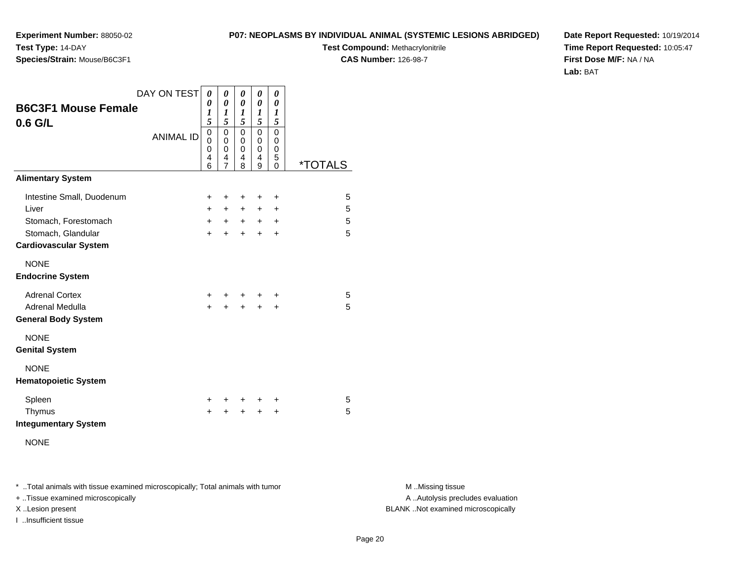**Test Compound:** Methacrylonitrile

**CAS Number:** 126-98-7

**Date Report Requested:** 10/19/2014**Time Report Requested:** 10:05:47**First Dose M/F:** NA / NA**Lab:** BAT

|                                       | DAY ON TEST      | 0                                 | 0                                    | 0                                    | 0                | 0                                    |                       |
|---------------------------------------|------------------|-----------------------------------|--------------------------------------|--------------------------------------|------------------|--------------------------------------|-----------------------|
| <b>B6C3F1 Mouse Female</b><br>0.6 G/L |                  | 0<br>1<br>5                       | 0<br>1<br>5                          | 0<br>1<br>5                          | 0<br>1<br>5      | $\boldsymbol{\theta}$<br>1<br>5      |                       |
|                                       | <b>ANIMAL ID</b> | 0<br>$\Omega$<br>$\mathbf 0$<br>4 | $\mathbf 0$<br>0<br>$\mathbf 0$<br>4 | $\mathbf 0$<br>0<br>$\mathbf 0$<br>4 | 0<br>0<br>0<br>4 | $\mathbf 0$<br>0<br>$\mathbf 0$<br>5 |                       |
| <b>Alimentary System</b>              |                  | 6                                 | $\overline{7}$                       | 8                                    | 9                | $\Omega$                             | <i><b>*TOTALS</b></i> |
| Intestine Small, Duodenum             |                  | $\pm$                             | ÷                                    | ÷                                    | ÷                | $\ddot{}$                            | 5                     |
| Liver                                 |                  | $+$                               | $+$                                  | $+$                                  | $+$              | $\ddot{}$                            | 5                     |
| Stomach, Forestomach                  |                  | $+$                               | $+$                                  | $+$                                  | $+$              | $\ddot{}$                            | 5                     |
| Stomach, Glandular                    |                  | $+$                               | $\pm$                                | $+$                                  | $\ddot{}$        | +                                    | 5                     |
| <b>Cardiovascular System</b>          |                  |                                   |                                      |                                      |                  |                                      |                       |
| <b>NONE</b>                           |                  |                                   |                                      |                                      |                  |                                      |                       |
| <b>Endocrine System</b>               |                  |                                   |                                      |                                      |                  |                                      |                       |
| <b>Adrenal Cortex</b>                 |                  | $+$                               |                                      |                                      | ÷                | +                                    | 5                     |
| Adrenal Medulla                       |                  | $+$                               | $+$                                  |                                      | $+ +$            | $\ddot{}$                            | 5                     |
| <b>General Body System</b>            |                  |                                   |                                      |                                      |                  |                                      |                       |
| <b>NONE</b>                           |                  |                                   |                                      |                                      |                  |                                      |                       |
| <b>Genital System</b>                 |                  |                                   |                                      |                                      |                  |                                      |                       |
| <b>NONE</b>                           |                  |                                   |                                      |                                      |                  |                                      |                       |
| <b>Hematopoietic System</b>           |                  |                                   |                                      |                                      |                  |                                      |                       |
| Spleen                                |                  | $\ddot{}$                         | +                                    | +                                    | +                | +                                    | 5                     |
| Thymus                                |                  | +                                 | +                                    | $\ddot{}$                            | $\ddot{}$        | +                                    | 5                     |
| <b>Integumentary System</b>           |                  |                                   |                                      |                                      |                  |                                      |                       |
| <b>NONE</b>                           |                  |                                   |                                      |                                      |                  |                                      |                       |

\* ..Total animals with tissue examined microscopically; Total animals with tumor **M** . Missing tissue M ..Missing tissue

+ ..Tissue examined microscopically

**Experiment Number:** 88050-02

**Species/Strain:** Mouse/B6C3F1

**Test Type:** 14-DAY

I ..Insufficient tissue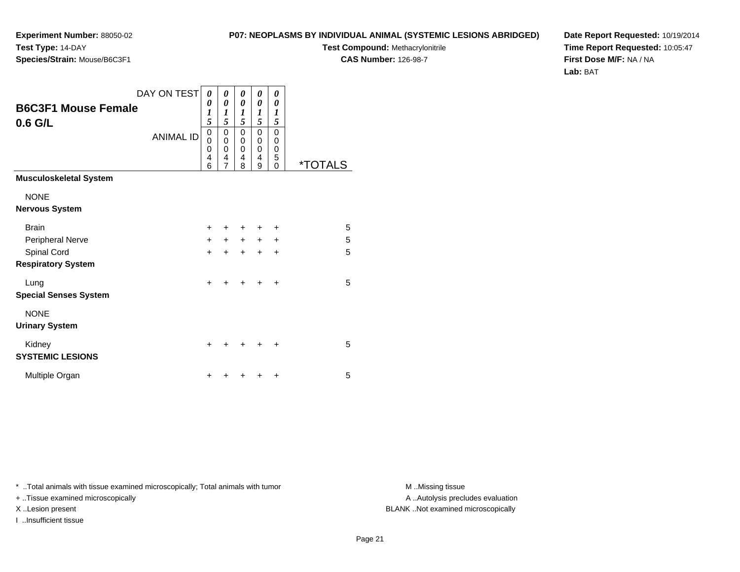**Test Compound:** Methacrylonitrile

**CAS Number:** 126-98-7

**Date Report Requested:** 10/19/2014**Time Report Requested:** 10:05:47**First Dose M/F:** NA / NA**Lab:** BAT

| <b>B6C3F1 Mouse Female</b><br>$0.6$ G/L | DAY ON TEST<br><b>ANIMAL ID</b> | 0<br>0<br>1<br>5<br>0<br>0<br>0 | 0<br>0<br>1<br>5<br>0<br>0<br>0 | 0<br>0<br>1<br>5<br>0<br>0<br>0 | 0<br>0<br>$\boldsymbol{l}$<br>5<br>0<br>0<br>0 | 0<br>0<br>1<br>5<br>0<br>0<br>0 |                       |
|-----------------------------------------|---------------------------------|---------------------------------|---------------------------------|---------------------------------|------------------------------------------------|---------------------------------|-----------------------|
|                                         |                                 | 4<br>6                          | 4<br>$\overline{7}$             | 4<br>8                          | 4<br>9                                         | 5<br>0                          | <i><b>*TOTALS</b></i> |
| <b>Musculoskeletal System</b>           |                                 |                                 |                                 |                                 |                                                |                                 |                       |
| <b>NONE</b>                             |                                 |                                 |                                 |                                 |                                                |                                 |                       |
| <b>Nervous System</b>                   |                                 |                                 |                                 |                                 |                                                |                                 |                       |
| <b>Brain</b>                            |                                 | $\ddot{}$                       |                                 | $\ddot{}$                       | $\ddot{}$                                      | $\ddot{}$                       | 5                     |
| Peripheral Nerve                        |                                 | $\ddot{}$                       | $+$                             | $+$                             | $+$                                            | $\ddot{}$                       | 5                     |
| Spinal Cord                             |                                 | $\ddot{}$                       | $\ddot{}$                       | $+$                             | $\ddot{}$                                      | $\ddot{}$                       | 5                     |
| <b>Respiratory System</b>               |                                 |                                 |                                 |                                 |                                                |                                 |                       |
| Lung                                    |                                 | $\ddot{}$                       |                                 | $\ddot{}$                       | $\ddot{}$                                      | $\ddot{}$                       | 5                     |
| <b>Special Senses System</b>            |                                 |                                 |                                 |                                 |                                                |                                 |                       |
| <b>NONE</b>                             |                                 |                                 |                                 |                                 |                                                |                                 |                       |
| <b>Urinary System</b>                   |                                 |                                 |                                 |                                 |                                                |                                 |                       |

\* ..Total animals with tissue examined microscopically; Total animals with tumor **M** ...Missing tissue M ...Missing tissue

 $\mathsf y$ 

n  $+$ 

+ ..Tissue examined microscopically

**Experiment Number:** 88050-02

**Species/Strain:** Mouse/B6C3F1

**Test Type:** 14-DAY

Kidney

**SYSTEMIC LESIONS**

Multiple Organ

I ..Insufficient tissue

A ..Autolysis precludes evaluation X ..Lesion present BLANK ..Not examined microscopically

<sup>+</sup> <sup>+</sup> <sup>+</sup> <sup>+</sup> <sup>5</sup>

<sup>+</sup> <sup>+</sup> <sup>+</sup> <sup>+</sup> <sup>5</sup>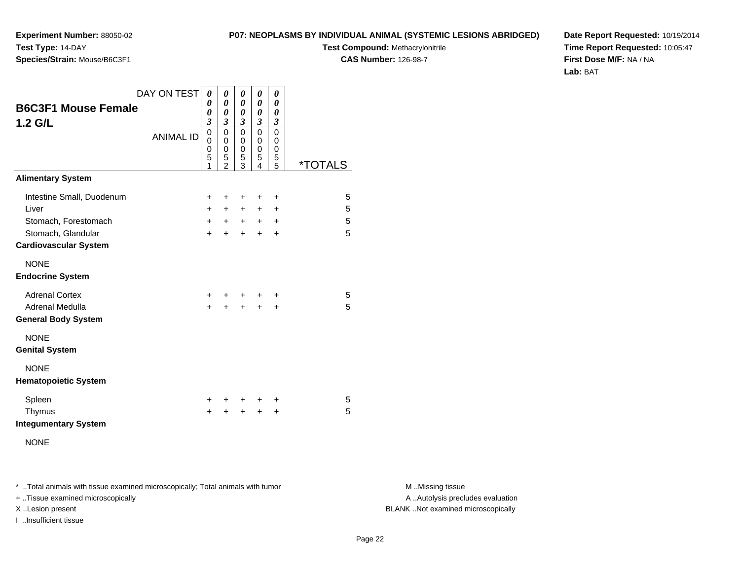**Test Type:** 14-DAY**Species/Strain:** Mouse/B6C3F1

**Experiment Number:** 88050-02

**Test Compound:** Methacrylonitrile**CAS Number:** 126-98-7

**Date Report Requested:** 10/19/2014**Time Report Requested:** 10:05:47**First Dose M/F:** NA / NA**Lab:** BAT

| <b>B6C3F1 Mouse Female</b><br>$1.2$ G/L            | DAY ON TEST<br><b>ANIMAL ID</b> | 0<br>0<br>0<br>$\mathfrak{z}$<br>$\mathbf 0$<br>0<br>0<br>5<br>1 | 0<br>0<br>0<br>3<br>0<br>0<br>0<br>5<br>$\mathfrak{p}$ | 0<br>0<br>0<br>$\overline{\mathbf{3}}$<br>0<br>0<br>0<br>5<br>3 | 0<br>$\boldsymbol{\theta}$<br>0<br>$\mathfrak{z}$<br>$\Omega$<br>0<br>$\mathbf 0$<br>5<br>4 | 0<br>0<br>$\boldsymbol{\theta}$<br>3<br>0<br>$\mathbf 0$<br>0<br>5<br>5 | <i><b>*TOTALS</b></i> |
|----------------------------------------------------|---------------------------------|------------------------------------------------------------------|--------------------------------------------------------|-----------------------------------------------------------------|---------------------------------------------------------------------------------------------|-------------------------------------------------------------------------|-----------------------|
| <b>Alimentary System</b>                           |                                 |                                                                  |                                                        |                                                                 |                                                                                             |                                                                         |                       |
| Intestine Small, Duodenum                          |                                 | +                                                                | ٠                                                      | +                                                               | +                                                                                           | +                                                                       | 5                     |
| Liver                                              |                                 | $+$                                                              | $+$                                                    | $+$                                                             | $+$                                                                                         | +                                                                       | 5                     |
| Stomach, Forestomach                               |                                 | $+$                                                              | $+$                                                    | $+$                                                             | $+$                                                                                         | $\ddot{}$                                                               | 5                     |
| Stomach, Glandular<br><b>Cardiovascular System</b> |                                 | $+$                                                              | $\ddot{}$                                              | $+$                                                             | $+$                                                                                         | $\ddot{}$                                                               | 5                     |
| <b>NONE</b><br><b>Endocrine System</b>             |                                 |                                                                  |                                                        |                                                                 |                                                                                             |                                                                         |                       |
| <b>Adrenal Cortex</b>                              |                                 | $+$                                                              |                                                        | $+$                                                             | ÷                                                                                           | ÷                                                                       | 5                     |
| Adrenal Medulla<br><b>General Body System</b>      |                                 | $\ddot{}$                                                        | $\ddot{}$                                              | $+$                                                             | $\ddot{}$                                                                                   | $\ddot{}$                                                               | 5                     |
| <b>NONE</b><br><b>Genital System</b>               |                                 |                                                                  |                                                        |                                                                 |                                                                                             |                                                                         |                       |
| <b>NONE</b><br><b>Hematopoietic System</b>         |                                 |                                                                  |                                                        |                                                                 |                                                                                             |                                                                         |                       |
| Spleen                                             |                                 | $\ddot{}$                                                        |                                                        | $\ddot{}$                                                       | +                                                                                           | +                                                                       | 5                     |
| Thymus<br><b>Integumentary System</b>              |                                 | $\ddot{}$                                                        | +                                                      | +                                                               | $\ddot{}$                                                                                   | +                                                                       | 5                     |

NONE

\* ..Total animals with tissue examined microscopically; Total animals with tumor **M** . Missing tissue M ..Missing tissue

+ ..Tissue examined microscopically

I ..Insufficient tissue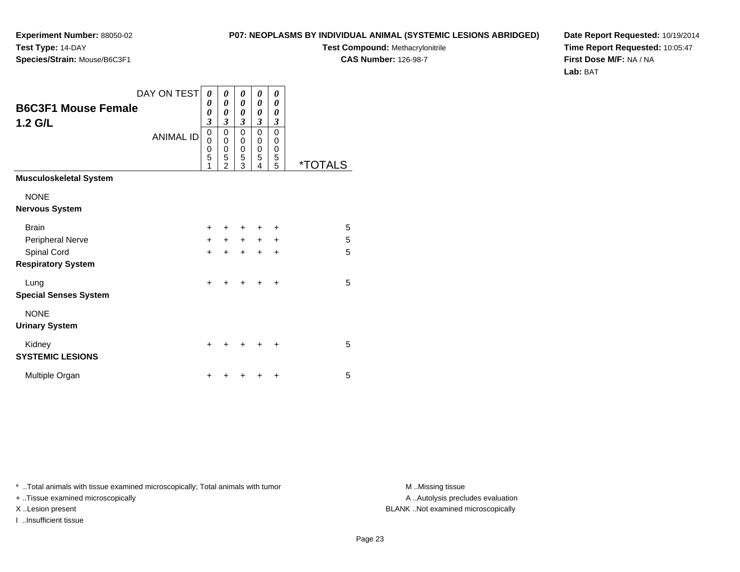**Test Compound:** Methacrylonitrile

0<br>0<br>0<br>5<br>5

5 \*TOTALS

**CAS Number:** 126-98-7

**Date Report Requested:** 10/19/2014**Time Report Requested:** 10:05:47**First Dose M/F:** NA / NA**Lab:** BAT

\* ..Total animals with tissue examined microscopically; Total animals with tumor **M** . Missing tissue M ..Missing tissue

+ ..Tissue examined microscopically

I ..Insufficient tissue

|                                                      | 0                |                       |                                                      |                  |
|------------------------------------------------------|------------------|-----------------------|------------------------------------------------------|------------------|
| DAY ON TEST<br><b>B6C3F1 Mouse Female</b><br>1.2 G/L | 0<br>0<br>3      | 0<br>0<br>0<br>3      | 0<br>0<br>0<br>3                                     | 0<br>0<br>0<br>3 |
| <b>ANIMAL ID</b>                                     | 0<br>O<br>0<br>5 | 0<br>0<br>0<br>5<br>2 | 0<br>0<br>$\begin{array}{c} 0 \\ 5 \\ 3 \end{array}$ | 0<br>0<br>0<br>5 |
| <b>Musculoskeletal System</b>                        |                  |                       |                                                      |                  |
| <b>NONE</b><br><b>Nervous System</b>                 |                  |                       |                                                      |                  |

**Experiment Number:** 88050-02

**Species/Strain:** Mouse/B6C3F1

**Test Type:** 14-DAY

| <b>Brain</b>                 | $\ddot{}$ |           | +         | +         | ÷         | 5 |
|------------------------------|-----------|-----------|-----------|-----------|-----------|---|
| <b>Peripheral Nerve</b>      | $\ddot{}$ | $\ddot{}$ | $\ddot{}$ | $+$       | $\ddot{}$ | 5 |
| Spinal Cord                  | $\ddot{}$ | $\ddot{}$ | $\ddot{}$ | $\ddot{}$ | $\ddot{}$ | 5 |
| <b>Respiratory System</b>    |           |           |           |           |           |   |
| Lung                         | $\div$    |           | $\ddot{}$ | $\ddot{}$ | $\ddot{}$ | 5 |
| <b>Special Senses System</b> |           |           |           |           |           |   |
| <b>NONE</b>                  |           |           |           |           |           |   |
| <b>Urinary System</b>        |           |           |           |           |           |   |
| Kidney                       | $\ddot{}$ | ÷         | $\ddot{}$ | $\pm$     | $+$       | 5 |
| <b>SYSTEMIC LESIONS</b>      |           |           |           |           |           |   |
| Multiple Organ               | +         |           | ÷         | ÷         | $\ddot{}$ | 5 |
|                              |           |           |           |           |           |   |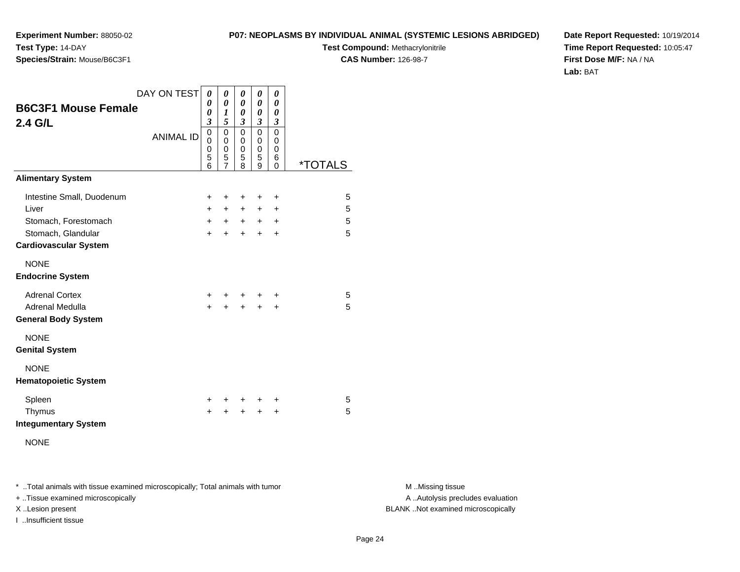**Experiment Number:** 88050-02**Test Type:** 14-DAY**Species/Strain:** Mouse/B6C3F1

**Test Compound:** Methacrylonitrile**CAS Number:** 126-98-7

**Date Report Requested:** 10/19/2014**Time Report Requested:** 10:05:47**First Dose M/F:** NA / NA**Lab:** BAT

| <b>B6C3F1 Mouse Female</b><br>2.4 G/L                                                                            | DAY ON TEST      | 0<br>0<br>0<br>$\boldsymbol{\beta}$                 | 0<br>$\boldsymbol{\theta}$<br>1<br>5                 | 0<br>$\boldsymbol{\theta}$<br>0<br>$\mathfrak{z}$ | 0<br>0<br>0<br>3             | 0<br>0<br>0<br>$\boldsymbol{\beta}$      |                       |  |
|------------------------------------------------------------------------------------------------------------------|------------------|-----------------------------------------------------|------------------------------------------------------|---------------------------------------------------|------------------------------|------------------------------------------|-----------------------|--|
|                                                                                                                  | <b>ANIMAL ID</b> | $\mathbf 0$<br>$\mathbf 0$<br>$\mathbf 0$<br>5<br>6 | $\mathbf 0$<br>0<br>$\pmb{0}$<br>5<br>$\overline{7}$ | 0<br>0<br>0<br>5<br>8                             | 0<br>0<br>0<br>5<br>9        | 0<br>0<br>0<br>6<br>0                    | <i><b>*TOTALS</b></i> |  |
| <b>Alimentary System</b>                                                                                         |                  |                                                     |                                                      |                                                   |                              |                                          |                       |  |
| Intestine Small, Duodenum<br>Liver<br>Stomach, Forestomach<br>Stomach, Glandular<br><b>Cardiovascular System</b> |                  | +<br>$+$<br>$+$<br>$\ddot{}$                        | $\ddot{}$<br>$+$<br>$+$<br>$\pm$                     | +<br>$+$<br>$+$<br>$+$                            | +<br>$+$<br>$+$<br>$\ddot{}$ | +<br>$\ddot{}$<br>$\ddot{}$<br>$\ddot{}$ | 5<br>5<br>5<br>5      |  |
| <b>NONE</b><br><b>Endocrine System</b>                                                                           |                  |                                                     |                                                      |                                                   |                              |                                          |                       |  |
| <b>Adrenal Cortex</b><br>Adrenal Medulla<br><b>General Body System</b>                                           |                  | $+$<br>$\ddot{}$                                    | $^+$<br>$\ddot{}$                                    | $\ddot{}$                                         | $\ddot{}$                    | ÷<br>$\ddot{}$                           | 5<br>5                |  |
| <b>NONE</b><br><b>Genital System</b>                                                                             |                  |                                                     |                                                      |                                                   |                              |                                          |                       |  |
| <b>NONE</b><br><b>Hematopoietic System</b>                                                                       |                  |                                                     |                                                      |                                                   |                              |                                          |                       |  |
| Spleen<br>Thymus<br><b>Integumentary System</b>                                                                  |                  | ÷<br>+                                              | +<br>+                                               | $\ddot{}$<br>+                                    | ÷<br>÷                       | +<br>+                                   | 5<br>5                |  |
| <b>NONE</b>                                                                                                      |                  |                                                     |                                                      |                                                   |                              |                                          |                       |  |

\* ..Total animals with tissue examined microscopically; Total animals with tumor **M** . Missing tissue M ..Missing tissue

+ ..Tissue examined microscopically

I ..Insufficient tissue